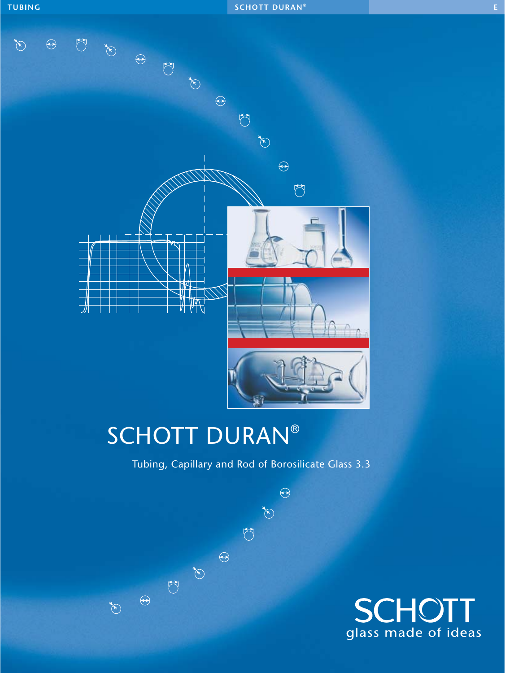

# SCHOTT DURAN®

Tubing, Capillary and Rod of Borosilicate Glass 3.3

 $\bigodot$ 

 $\bigotimes^\bullet$ 

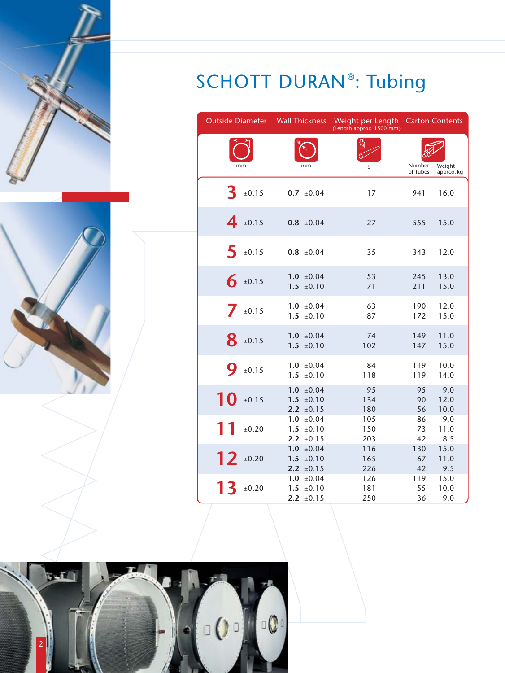



| <b>Outside Diameter Wall Thickness</b> |                                                    | Weight per Length<br>(Length approx. 1500 mm) |                    | <b>Carton Contents</b> |
|----------------------------------------|----------------------------------------------------|-----------------------------------------------|--------------------|------------------------|
| mm                                     | mm                                                 | g                                             | Number<br>of Tubes | Weight<br>approx. kg   |
| ±0.15                                  | $0.7 \pm 0.04$                                     | 17                                            | 941                | 16.0                   |
| $4_{\pm 0.15}$                         | $0.8 \pm 0.04$                                     | 27                                            | 555                | 15.0                   |
| $\blacktriangleleft$<br>±0.15          | $0.8 \pm 0.04$                                     | 35                                            | 343                | 12.0                   |
| $6 \pm 0.15$                           | $1.0 \pm 0.04$<br>$1.5 \pm 0.10$                   | 53<br>71                                      | 245<br>211         | 13.0<br>15.0           |
| $\mathbb{Z}$<br>±0.15                  | $1.0 \pm 0.04$<br>$1.5 \pm 0.10$                   | 63<br>87                                      | 190<br>172         | 12.0<br>15.0           |
| $8_{\pm 0.15}$                         | $1.0 \pm 0.04$<br>$1.5 \pm 0.10$                   | 74<br>102                                     | 149<br>147         | 11.0<br>15.0           |
| 9<br>±0.15                             | $1.0 \pm 0.04$<br>$1.5 \pm 0.10$                   | 84<br>118                                     | 119<br>119         | 10.0<br>14.0           |
| 10<br>±0.15                            | $1.0 \pm 0.04$<br>$1.5 \pm 0.10$<br>2.2 $\pm 0.15$ | 95<br>134<br>180                              | 95<br>90<br>56     | 9.0<br>12.0<br>10.0    |
| 11<br>±0.20                            | $1.0 \pm 0.04$<br>$1.5 \pm 0.10$<br>2.2 $\pm 0.15$ | 105<br>150<br>203                             | 86<br>73<br>42     | 9.0<br>11.0<br>8.5     |
| $12 \pm 0.20$                          | $1.0 \pm 0.04$<br>$1.5 \pm 0.10$<br>2.2 $\pm 0.15$ | 116<br>165<br>226                             | 130<br>67<br>42    | 15.0<br>11.0<br>9.5    |
| ±0.20                                  | $1.0 \pm 0.04$<br>$1.5 \pm 0.10$<br>2.2 $\pm 0.15$ | 126<br>181<br>250                             | 119<br>55<br>36    | 15.0<br>10.0<br>9.0    |

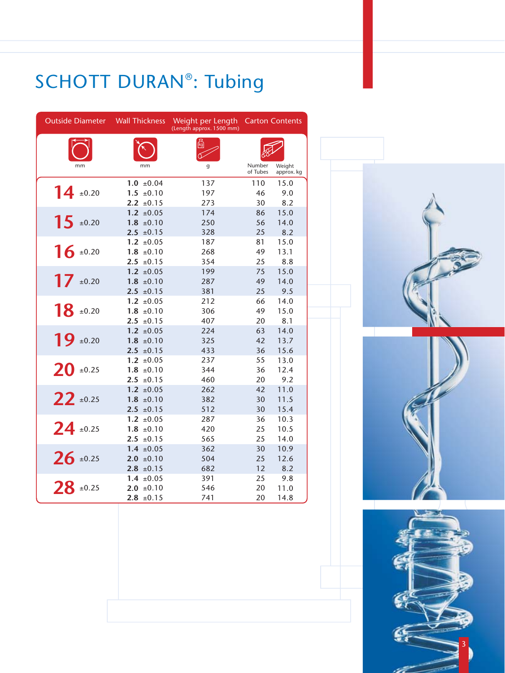| <b>Outside Diameter</b> | <b>Wall Thickness</b>            | Weight per Length<br>(Length approx. 1500 mm) |                    | <b>Carton Contents</b> |
|-------------------------|----------------------------------|-----------------------------------------------|--------------------|------------------------|
|                         |                                  |                                               |                    |                        |
| mm                      | mm                               | g                                             | Number<br>of Tubes | Weight<br>approx. kg   |
|                         | $1.0 \pm 0.04$                   | 137                                           | 110                | 15.0                   |
| $14 \pm 0.20$           | $1.5 \pm 0.10$                   | 197                                           | 46                 | 9.0                    |
|                         | $2.2 \pm 0.15$                   | 273                                           | 30                 | 8.2                    |
| $15 \pm 0.20$           | $1.2 \pm 0.05$                   | 174<br>250                                    | 86<br>56           | 15.0<br>14.0           |
|                         | $1.8 \pm 0.10$<br>$2.5 \pm 0.15$ | 328                                           | 25                 | 8.2                    |
|                         | $1.2 \pm 0.05$                   | 187                                           | 81                 | 15.0                   |
| $16 \pm 0.20$           | $1.8 \pm 0.10$                   | 268                                           | 49                 | 13.1                   |
|                         | $2.5 \pm 0.15$                   | 354                                           | 25                 | 8.8                    |
|                         | $1.2 \pm 0.05$                   | 199                                           | 75                 | 15.0                   |
| 17 $\pm 0.20$           | $1.8 \pm 0.10$                   | 287                                           | 49                 | 14.0                   |
|                         | $2.5 \pm 0.15$                   | 381                                           | 25                 | 9.5                    |
|                         | $1.2 \pm 0.05$                   | 212                                           | 66                 | 14.0                   |
| $18$ ±0.20              | $1.8 \pm 0.10$                   | 306                                           | 49                 | 15.0                   |
|                         | $2.5 \pm 0.15$                   | 407                                           | 20                 | 8.1                    |
|                         | $1.2 \pm 0.05$                   | 224                                           | 63                 | 14.0                   |
| $19 \pm 0.20$           | $1.8 \pm 0.10$                   | 325                                           | 42                 | 13.7                   |
|                         | $2.5 \pm 0.15$                   | 433                                           | 36                 | 15.6                   |
|                         | $1.2 \pm 0.05$                   | 237                                           | 55                 | 13.0                   |
| $20$ ±0.25              | $1.8 \pm 0.10$                   | 344                                           | 36                 | 12.4                   |
|                         | $2.5 \pm 0.15$                   | 460                                           | 20                 | 9.2                    |
|                         | $1.2 \pm 0.05$                   | 262                                           | 42                 | 11.0                   |
| $22$ ±0.25              | $1.8 \pm 0.10$                   | 382                                           | 30                 | 11.5                   |
|                         | $2.5 \pm 0.15$                   | 512                                           | 30                 | 15.4                   |
| $24$ ±0.25              | $1.2 \pm 0.05$<br>$1.8 \pm 0.10$ | 287<br>420                                    | 36<br>25           | 10.3<br>10.5           |
|                         | $2.5 \pm 0.15$                   | 565                                           | 25                 | 14.0                   |
|                         | $1.4 \pm 0.05$                   | 362                                           | 30                 | 10.9                   |
| $26 \pm 0.25$           | $2.0 \pm 0.10$                   | 504                                           | 25                 | 12.6                   |
|                         | $2.8 \pm 0.15$                   | 682                                           | 12                 | 8.2                    |
|                         | $1.4 \pm 0.05$                   | 391                                           | 25                 | 9.8                    |
| $28 \pm 0.25$           | $2.0 \pm 0.10$                   | 546                                           | 20                 | 11.0                   |
|                         | $2.8 \pm 0.15$                   | 741                                           | 20                 | 14.8                   |

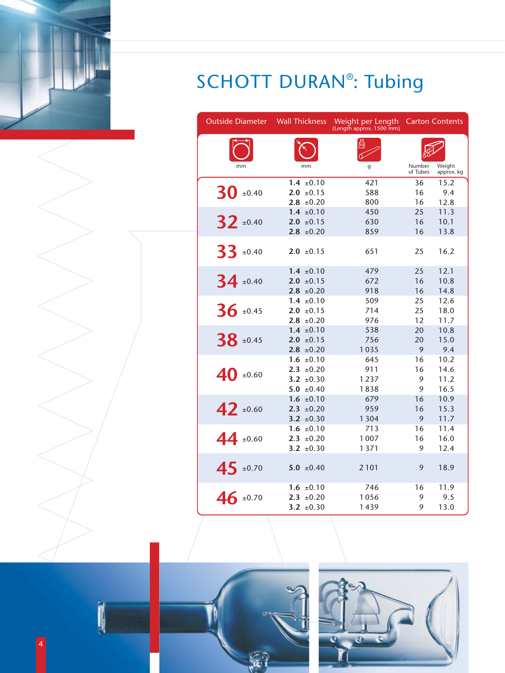

4

| <b>Outside Diameter</b> | <b>Wall Thickness</b>            | Weight per Length<br>(Length approx. 1500 mm) |                    | <b>Carton Contents</b> |
|-------------------------|----------------------------------|-----------------------------------------------|--------------------|------------------------|
|                         |                                  |                                               |                    |                        |
| mm                      | mm                               | g                                             | Number<br>of Tubes | Weight<br>approx. kg   |
|                         | $1.4 \pm 0.10$                   | 421                                           | 36                 | 15.2                   |
| 30<br>±0.40             | $2.0 \pm 0.15$<br>$2.8 \pm 0.20$ | 588<br>800                                    | 16<br>16           | 9.4<br>12.8            |
|                         | $1.4 \pm 0.10$                   | 450                                           | 25                 | 11.3                   |
| $32 \pm 0.40$           | $2.0 \pm 0.15$                   | 630                                           | 16                 | 10.1                   |
|                         | $2.8 \pm 0.20$                   | 859                                           | 16                 | 13.8                   |
| $33 \pm 0.40$           | $2.0 \pm 0.15$                   | 651                                           | 25                 | 16.2                   |
|                         | $1.4 \pm 0.10$                   | 479                                           | 25                 | 12.1                   |
| $34 \pm 0.40$           | $2.0 \pm 0.15$                   | 672                                           | 16                 | 10.8                   |
|                         | $2.8 \pm 0.20$                   | 918                                           | 16                 | 14.8                   |
| $36 \pm 0.45$           | $1.4 \pm 0.10$<br>$2.0 \pm 0.15$ | 509<br>714                                    | 25<br>25           | 12.6<br>18.0           |
|                         | $2.8 \pm 0.20$                   | 976                                           | 12                 | 11.7                   |
|                         | $1.4 \pm 0.10$                   | 538                                           | 20                 | 10.8                   |
| $38$ ±0.45              | $2.0 \pm 0.15$                   | 756                                           | 20                 | 15.0                   |
|                         | $2.8 \pm 0.20$                   | 1035                                          | 9                  | 9.4                    |
|                         | $1.6 \pm 0.10$                   | 645                                           | 16                 | 10.2                   |
| 40<br>±0.60             | $2.3 \pm 0.20$                   | 911                                           | 16                 | 14.6                   |
|                         | 3.2 $\pm 0.30$                   | 1237                                          | 9                  | 11.2                   |
|                         | $5.0 \pm 0.40$                   | 1838                                          | 9<br>16            | 16.5                   |
|                         | $1.6 \pm 0.10$<br>$2.3 \pm 0.20$ | 679<br>959                                    | 16                 | 10.9<br>15.3           |
| $42 \pm 0.60$           | 3.2 $\pm 0.30$                   | 1304                                          | 9                  | 11.7                   |
|                         | $1.6 \pm 0.10$                   | 713                                           | 16                 | 11.4                   |
| $44 \pm 0.60$           | $2.3 \pm 0.20$                   | 1007                                          | 16                 | 16.0                   |
|                         | 3.2 $\pm 0.30$                   | 1371                                          | 9                  | 12.4                   |
| $45 \pm 0.70$           | 5.0 $\pm 0.40$                   | 2101                                          | 9                  | 18.9                   |
|                         | $1.6 \pm 0.10$                   | 746                                           | 16                 | 11.9                   |
| $46 \pm 0.70$           | $2.3 \pm 0.20$                   | 1056                                          | 9                  | 9.5                    |
|                         | 3.2 $\pm 0.30$                   | 1439                                          | 9                  | 13.0                   |



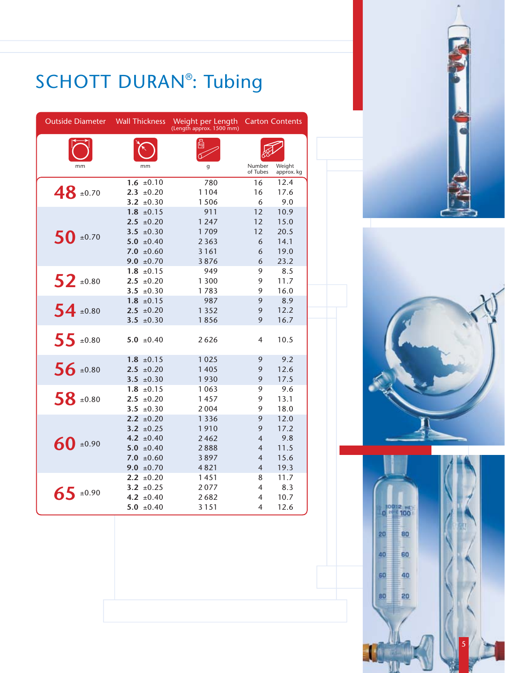

| <b>Outside Diameter</b> | <b>Wall Thickness</b> | Weight per Length<br>(Length approx. 1500 mm) |                    | <b>Carton Contents</b> |
|-------------------------|-----------------------|-----------------------------------------------|--------------------|------------------------|
|                         |                       |                                               |                    |                        |
| mm                      | mm                    | g                                             | Number<br>of Tubes | Weight<br>approx. kg   |
|                         | $1.6 \pm 0.10$        | 780                                           | 16                 | 12.4                   |
| $48 \pm 0.70$           | $2.3 \pm 0.20$        | 1104                                          | 16                 | 17.6                   |
|                         | 3.2 $\pm 0.30$        | 1506                                          | 6                  | 9.0                    |
|                         | $1.8 \pm 0.15$        | 911                                           | 12                 | 10.9                   |
|                         | $2.5 \pm 0.20$        | 1 2 4 7                                       | 12                 | 15.0                   |
| $50$ ±0.70              | 3.5 $\pm 0.30$        | 1709                                          | 12                 | 20.5                   |
|                         | 5.0 $\pm 0.40$        | 2 3 6 3                                       | 6                  | 14.1                   |
|                         | $7.0 \pm 0.60$        | 3161                                          | 6                  | 19.0                   |
|                         | 9.0 $\pm 0.70$        | 3876                                          | 6                  | 23.2                   |
|                         | $1.8 \pm 0.15$        | 949                                           | 9                  | 8.5                    |
| $52$ ±0.80              | $2.5 \pm 0.20$        | 1 3 0 0                                       | 9                  | 11.7                   |
|                         | 3.5 $\pm 0.30$        | 1783                                          | 9                  | 16.0                   |
|                         | $1.8 \pm 0.15$        | 987                                           | 9                  | 8.9                    |
| $54 \pm 0.80$           | $2.5 \pm 0.20$        | 1 3 5 2                                       | 9                  | 12.2                   |
|                         | 3.5 $\pm 0.30$        | 1856                                          | 9                  | 16.7                   |
| $55 \pm 0.80$           | $5.0 \pm 0.40$        | 2626                                          | $\overline{4}$     | 10.5                   |
|                         | $1.8 \pm 0.15$        | 1025                                          | 9                  | 9.2                    |
| $56 \pm 0.80$           | $2.5 \pm 0.20$        | 1405                                          | 9                  | 12.6                   |
|                         | 3.5 $\pm 0.30$        | 1930                                          | 9                  | 17.5                   |
|                         | $1.8 \pm 0.15$        | 1063                                          | 9                  | 9.6                    |
| 58 ±0.80                | $2.5 \pm 0.20$        | 1457                                          | 9                  | 13.1                   |
|                         | 3.5 $\pm 0.30$        | 2004                                          | 9                  | 18.0                   |
|                         | $2.2 \pm 0.20$        | 1 3 3 6                                       | 9                  | 12.0                   |
|                         | 3.2 $\pm 0.25$        | 1910                                          | 9                  | 17.2                   |
| $60$ ±0.90              | 4.2 $\pm 0.40$        | 2462                                          | $\overline{4}$     | 9.8                    |
|                         | 5.0 $\pm 0.40$        | 2888                                          | $\overline{4}$     | 11.5                   |
|                         | 7.0 $\pm 0.60$        | 3897                                          | 4                  | 15.6                   |
|                         | 9.0 $\pm 0.70$        | 4821                                          | $\overline{4}$     | 19.3                   |
|                         | $2.2 \pm 0.20$        | 1451                                          | 8                  | 11.7                   |
| $65$ ±0.90              | 3.2 $\pm 0.25$        | 2077                                          | 4                  | 8.3                    |
|                         | 4.2 $\pm 0.40$        | 2682                                          | 4                  | 10.7                   |
|                         | 5.0 $\pm 0.40$        | 3151                                          | $\overline{4}$     | 12.6                   |



80

20

5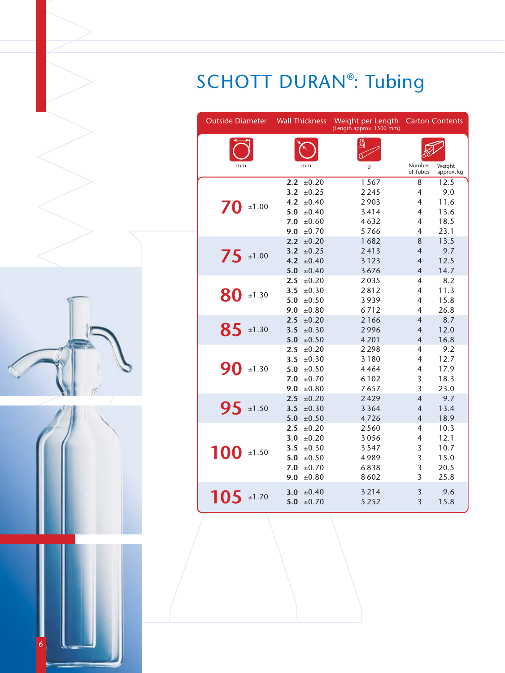| <b>Outside Diameter</b> | <b>Wall Thickness</b>        | Weight per Length<br>(Length approx. 1500 mm) |                                  | <b>Carton Contents</b> |
|-------------------------|------------------------------|-----------------------------------------------|----------------------------------|------------------------|
| mm                      | mm                           | g                                             | Number                           | Weight                 |
|                         |                              |                                               | of Tubes                         | approx. kg             |
|                         | 2.2<br>±0.20                 | 1567                                          | 8                                | 12.5                   |
|                         | 3.2<br>$\pm 0.25$            | 2 2 4 5                                       | 4                                | 9.0                    |
| 70<br>±1.00             | 4.2<br>±0.40                 | 2903                                          | 4                                | 11.6                   |
|                         | 5.0<br>±0.40                 | 3414                                          | 4                                | 13.6                   |
|                         | 7.0<br>±0.60                 | 4632                                          | $\overline{4}$                   | 18.5                   |
|                         | 9.0<br>±0.70                 | 5766                                          | 4                                | 23.1                   |
|                         | 2.2<br>±0.20                 | 1682                                          | 8                                | 13.5                   |
| 75<br>±1.00             | 3.2<br>±0.25                 | 2413                                          | $\overline{4}$                   | 9.7<br>12.5            |
|                         | 4.2<br>±0.40<br>5.0<br>±0.40 | 3123<br>3676                                  | $\overline{4}$<br>$\overline{4}$ | 14.7                   |
|                         | 2.5<br>±0.20                 | 2035                                          | 4                                | 8.2                    |
|                         | 3.5<br>±0.30                 | 2812                                          | 4                                | 11.3                   |
| 80<br>±1.30             | 5.0<br>±0.50                 | 3939                                          | 4                                | 15.8                   |
|                         | ±0.80<br>9.0                 | 6712                                          | 4                                | 26.8                   |
|                         | 2.5<br>±0.20                 | 2166                                          | $\overline{4}$                   | 8.7                    |
| 85<br>±1.30             | 3.5<br>±0.30                 | 2996                                          | $\overline{4}$                   | 12.0                   |
|                         | 5.0<br>±0.50                 | 4 2 0 1                                       | $\overline{4}$                   | 16.8                   |
|                         | 2.5<br>±0.20                 | 2298                                          | $\overline{4}$                   | 9.2                    |
|                         | 3.5<br>±0.30                 | 3180                                          | 4                                | 12.7                   |
| 90<br>±1.30             | 5.0<br>±0.50                 | 4464                                          | $\overline{4}$                   | 17.9                   |
|                         | 7.0<br>±0.70                 | 6102                                          | 3                                | 18.3                   |
|                         | 9.0<br>±0.80                 | 7657                                          | 3                                | 23.0                   |
|                         | 2.5<br>±0.20                 | 2429                                          | $\overline{4}$                   | 9.7                    |
| 95<br>±1.50             | ±0.30<br>3.5                 | 3 3 6 4                                       | $\overline{4}$                   | 13.4                   |
|                         | 5.0<br>±0.50                 | 4726                                          | $\overline{4}$                   | 18.9                   |
|                         | ±0.20<br>2.5                 | 2560                                          | 4                                | 10.3                   |
|                         | ±0.20<br>3.0                 | 3056                                          | 4                                | 12.1                   |
| 100<br>±1.50            | ±0.30<br>3.5                 | 3547                                          | 3                                | 10.7                   |
|                         | ±0.50<br>5.0                 | 4989                                          | $\overline{3}$                   | 15.0                   |
|                         | 7.0<br>±0.70                 | 6838                                          | 3                                | 20.5                   |
|                         | 9.0<br>±0.80                 | 8602                                          | 3                                | 25.8                   |
| 105<br>±1.70            | ±0.40<br>3.0                 | 3 2 1 4                                       | 3                                | 9.6                    |
|                         | ±0.70<br>5.0                 | 5 2 5 2                                       | 3                                | 15.8                   |

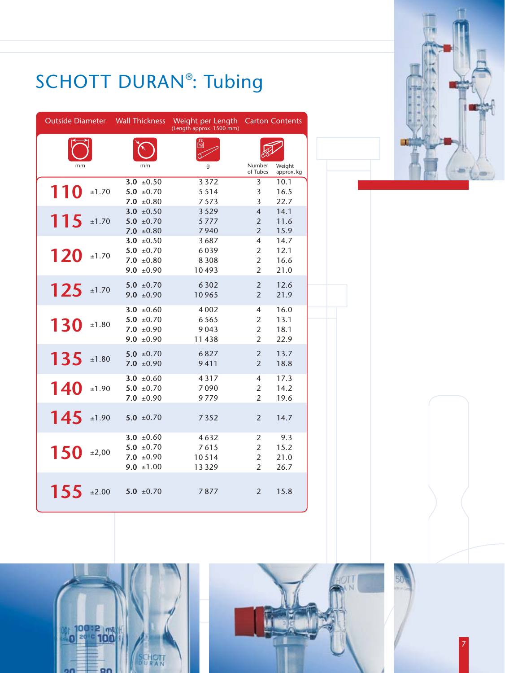

| <b>Outside Diameter</b> |       | <b>Wall Thickness</b>            | Weight per Length<br>(Length approx. 1500 mm) |                                  | <b>Carton Contents</b> |
|-------------------------|-------|----------------------------------|-----------------------------------------------|----------------------------------|------------------------|
| mm                      |       | mm                               | g                                             | Number                           | Weight                 |
|                         |       | 3.0 $\pm 0.50$                   | 3 3 7 2                                       | of Tubes<br>3                    | approx. kg<br>10.1     |
| 110                     | ±1.70 | 5.0 $\pm 0.70$                   | 5514                                          | 3                                | 16.5                   |
|                         |       | $7.0 \pm 0.80$                   | 7573                                          | 3                                | 22.7                   |
|                         |       | 3.0 $\pm 0.50$                   | 3529                                          | $\overline{4}$                   | 14.1                   |
| 115                     | ±1.70 | 5.0 $\pm 0.70$                   | 5777                                          | $\overline{2}$                   | 11.6                   |
|                         |       | $7.0 \pm 0.80$<br>3.0 $\pm 0.50$ | 7940<br>3687                                  | $\overline{2}$<br>$\overline{4}$ | 15.9<br>14.7           |
|                         |       | 5.0 $\pm 0.70$                   | 6039                                          | $\overline{2}$                   | 12.1                   |
| 120                     | ±1.70 | $7.0 \pm 0.80$                   | 8 3 0 8                                       | $\overline{2}$                   | 16.6                   |
|                         |       | 9.0 $\pm 0.90$                   | 10493                                         | $\overline{2}$                   | 21.0                   |
|                         |       | 5.0 $\pm 0.70$                   | 6302                                          | $\overline{2}$                   | 12.6                   |
| 125                     | ±1.70 | 9.0 $\pm 0.90$                   | 10965                                         | $\overline{2}$                   | 21.9                   |
|                         |       |                                  |                                               |                                  |                        |
|                         |       | 3.0 $\pm 0.60$                   | 4002                                          | 4                                | 16.0                   |
| <b>130</b>              | ±1.80 | $5.0 \pm 0.70$<br>$7.0 \pm 0.90$ | 6565<br>9043                                  | $\overline{2}$<br>$\overline{2}$ | 13.1<br>18.1           |
|                         |       | 9.0 $\pm 0.90$                   | 11438                                         | $\overline{2}$                   | 22.9                   |
|                         |       |                                  |                                               |                                  |                        |
| 135                     | ±1.80 | $5.0 \pm 0.70$<br>$7.0 \pm 0.90$ | 6827<br>9411                                  | $\overline{2}$<br>$\overline{2}$ | 13.7<br>18.8           |
|                         |       |                                  |                                               |                                  |                        |
|                         |       | 3.0 $\pm 0.60$                   | 4317                                          | 4                                | 17.3                   |
| 140                     | ±1.90 | $5.0 \pm 0.70$                   | 7090<br>9779                                  | $\overline{2}$<br>$\overline{2}$ | 14.2<br>19.6           |
|                         |       | $7.0 \pm 0.90$                   |                                               |                                  |                        |
| 145                     | ±1.90 | 5.0 $\pm 0.70$                   | 7352                                          | $\overline{2}$                   | 14.7                   |
|                         |       |                                  |                                               |                                  |                        |
|                         |       | 3.0 $\pm 0.60$                   | 4632                                          | $\overline{2}$                   | 9.3                    |
| 150                     | ±2,00 | 5.0 $\pm 0.70$                   | 7615                                          | $\overline{2}$                   | 15.2                   |
|                         |       | $7.0 \pm 0.90$                   | 10514                                         | $\overline{2}$                   | 21.0                   |
|                         |       | 9.0 $\pm 1.00$                   | 13329                                         | $\overline{2}$                   | 26.7                   |
|                         |       |                                  |                                               |                                  |                        |
| 155                     | ±2.00 | 5.0 $\pm 0.70$                   | 7877                                          | $\overline{2}$                   | 15.8                   |
|                         |       |                                  |                                               |                                  |                        |



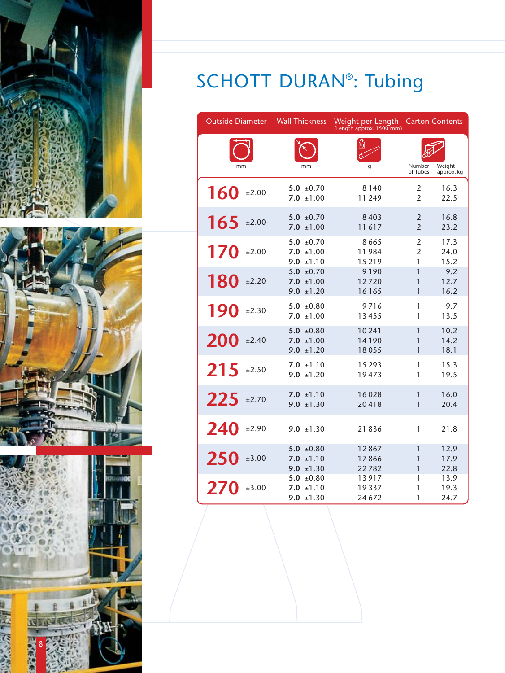





| <b>Outside Diameter</b> | <b>Wall Thickness</b>                              | Weight per Length<br>(Length approx. 1500 mm) |                                  | <b>Carton Contents</b> |
|-------------------------|----------------------------------------------------|-----------------------------------------------|----------------------------------|------------------------|
| mm                      | mm                                                 | g                                             | Number<br>of Tubes               | Weight<br>approx. kg   |
| 160<br>±2.00            | 5.0 $\pm 0.70$<br>$7.0 \pm 1.00$                   | 8140<br>11 249                                | $\overline{2}$<br>$\mathfrak{p}$ | 16.3<br>22.5           |
| 165<br>±2.00            | 5.0 $\pm 0.70$<br>7.0 $\pm 1.00$                   | 8403<br>11617                                 | 2<br>$\overline{2}$              | 16.8<br>23.2           |
| 170<br>±2.00            | $5.0 \pm 0.70$<br>$7.0 \pm 1.00$<br>9.0 $\pm$ 1.10 | 8665<br>11984<br>15219                        | 2<br>2<br>1                      | 17.3<br>24.0<br>15.2   |
| 180<br>±2.20            | 5.0 $\pm 0.70$<br>7.0 $\pm 1.00$<br>$9.0 \pm 1.20$ | 9190<br>12720<br>16165                        | 1<br>1<br>1                      | 9.2<br>12.7<br>16.2    |
| 190<br>±2.30            | $5.0 \pm 0.80$<br>$7.0 \pm 1.00$                   | 9716<br>13455                                 | 1<br>1                           | 9.7<br>13.5            |
| 200<br>±2.40            | $5.0 \pm 0.80$<br>7.0 $\pm 1.00$<br>9.0 $\pm$ 1.20 | 10 241<br>14190<br>18055                      | 1<br>1<br>1                      | 10.2<br>14.2<br>18.1   |
| 215<br>±2.50            | $7.0 \pm 1.10$<br>$9.0 \pm 1.20$                   | 15 2 9 3<br>19473                             | 1<br>1                           | 15.3<br>19.5           |
| 225<br>±2.70            | $7.0 \pm 1.10$<br>9.0 $\pm 1.30$                   | 16028<br>20418                                | 1<br>1                           | 16.0<br>20.4           |
| 240<br>±2.90            | $9.0 \pm 1.30$                                     | 21836                                         | 1                                | 21.8                   |
| 250<br>±3.00            | $5.0 \pm 0.80$<br>$7.0 \pm 1.10$<br>9.0 $\pm$ 1.30 | 12867<br>17866<br>22782                       | 1<br>1<br>1                      | 12.9<br>17.9<br>22.8   |
| 270<br>±3.00            | 5.0 $\pm 0.80$<br>$7.0 \pm 1.10$<br>9.0 $\pm 1.30$ | 13917<br>19337<br>24 672                      | 1<br>1<br>1                      | 13.9<br>19.3<br>24.7   |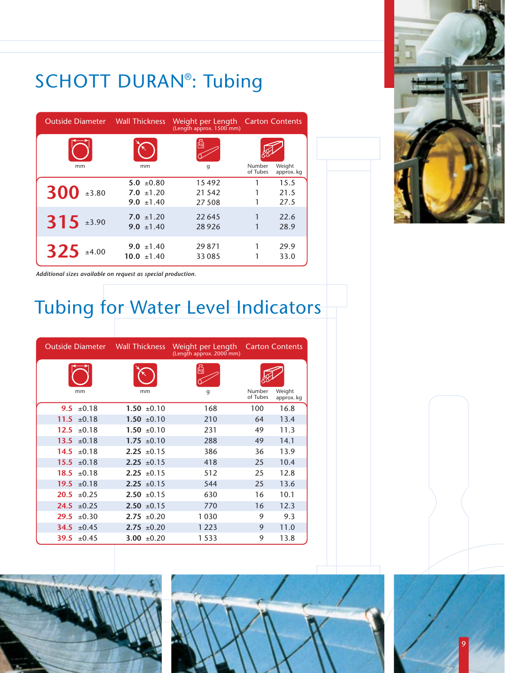

| <b>Outside Diameter</b> Wall Thickness |                 | Weight per Length Carton Contents<br>(Length approx. 1500 mm) |                    |                      |
|----------------------------------------|-----------------|---------------------------------------------------------------|--------------------|----------------------|
|                                        |                 | 碣                                                             |                    |                      |
| mm                                     | mm              | q                                                             | Number<br>of Tubes | Weight<br>approx. kg |
|                                        | $5.0 \pm 0.80$  | 15492                                                         |                    | 15.5                 |
| $300$ ±3.80                            | $7.0 \pm 1.20$  | 21 5 4 2                                                      |                    | 21.5                 |
|                                        | 9.0 $\pm 1.40$  | 27508                                                         |                    | 27.5                 |
|                                        | $7.0 \pm 1.20$  | 22 645                                                        |                    | 22.6                 |
| $315$ $\pm 3.90$                       | 9.0 $\pm$ 1.40  | 28926                                                         |                    | 28.9                 |
| $325$ ±4.00                            | 9.0 $\pm 1.40$  | 29871                                                         |                    | 29.9                 |
|                                        | $10.0 \pm 1.40$ | 33 0 85                                                       |                    | 33.0                 |

*Additional sizes available on request as special production.*

## Tubing for Water Level Indicators

|                    | <b>Outside Diameter</b> Wall Thickness |                 | Weight per Length Carton Contents<br>(Length approx. 2000 mm) |                    |                      |
|--------------------|----------------------------------------|-----------------|---------------------------------------------------------------|--------------------|----------------------|
| mm                 |                                        | mm              | 碣<br>g                                                        | Number<br>of Tubes | Weight<br>approx. kg |
| 9.5 $\pm 0.18$     |                                        | $1.50 \pm 0.10$ | 168                                                           | 100                | 16.8                 |
| 11.5<br>$\pm 0.18$ |                                        | $1.50 \pm 0.10$ | 210                                                           | 64                 | 13.4                 |
| 12.5 $\pm 0.18$    |                                        | $1.50 \pm 0.10$ | 231                                                           | 49                 | 11.3                 |
| $13.5 \pm 0.18$    |                                        | $1.75 \pm 0.10$ | 288                                                           | 49                 | 14.1                 |
| 14.5 $\pm 0.18$    |                                        | $2.25 \pm 0.15$ | 386                                                           | 36                 | 13.9                 |
| $15.5 \pm 0.18$    |                                        | $2.25 \pm 0.15$ | 418                                                           | 25                 | 10.4                 |
| $18.5 \pm 0.18$    |                                        | $2.25 + 0.15$   | 512                                                           | 25                 | 12.8                 |
| 19.5 $\pm 0.18$    |                                        | $2.25 \pm 0.15$ | 544                                                           | 25                 | 13.6                 |
| 20.5               | ±0.25                                  | $2.50 \pm 0.15$ | 630                                                           | 16                 | 10.1                 |
| $24.5 \pm 0.25$    |                                        | $2.50 \pm 0.15$ | 770                                                           | 16                 | 12.3                 |
| 29.5               | $\pm 0.30$                             | $2.75 \pm 0.20$ | 1030                                                          | 9                  | 9.3                  |
| 34.5 $\pm 0.45$    |                                        | $2.75 \pm 0.20$ | 1 2 2 3                                                       | 9                  | 11.0                 |
| 39.5 $\pm 0.45$    |                                        | 3.00 $\pm 0.20$ | 1533                                                          | 9                  | 13.8                 |





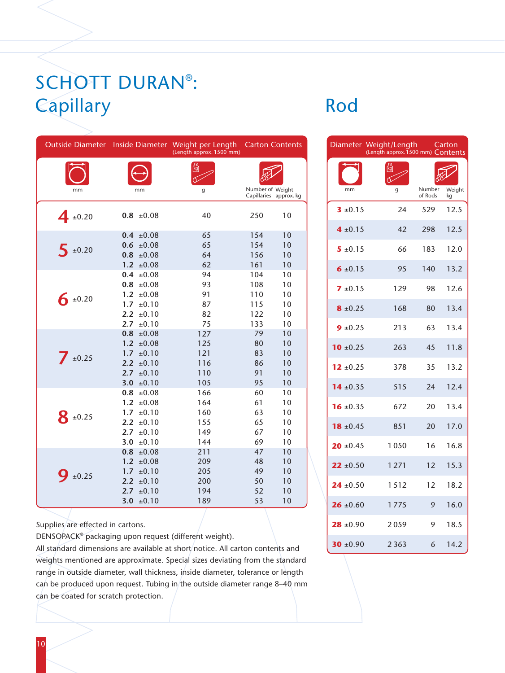## SCHOTT DURAN® : Capillary Rod

|                     |                                                                                                                                  | Outside Diameter Inside Diameter Weight per Length<br>(Length approx. 1500 mm) |                                        | <b>Carton Contents</b>           |
|---------------------|----------------------------------------------------------------------------------------------------------------------------------|--------------------------------------------------------------------------------|----------------------------------------|----------------------------------|
|                     |                                                                                                                                  |                                                                                |                                        |                                  |
| mm                  | mm                                                                                                                               | g                                                                              | Number of Weight                       | Capillaries approx. kg           |
| $4_{\pm 0.20}$      | $0.8 \pm 0.08$                                                                                                                   | 40                                                                             | 250                                    | 10                               |
| $5 \pm 0.20$        | $0.4 \pm 0.08$<br>$0.6 \pm 0.08$<br>$0.8 \pm 0.08$<br>1.2 $\pm 0.08$                                                             | 65<br>65<br>64<br>62                                                           | 154<br>154<br>156<br>161               | 10<br>10<br>10<br>10             |
| $6 \pm 0.20$        | 0.4<br>±0.08<br>$0.8 \pm 0.08$<br>1.2 $\pm 0.08$<br>$1.7 \pm 0.10$<br>2.2 $\pm 0.10$<br>$2.7^{\circ}$<br>±0.10                   | 94<br>93<br>91<br>87<br>82<br>75                                               | 104<br>108<br>110<br>115<br>122<br>133 | 10<br>10<br>10<br>10<br>10<br>10 |
| $7_{\pm 0.25}$      | 0.8 <sub>0</sub><br>±0.08<br>1.2 $\pm 0.08$<br>1.7<br>±0.10<br>2.2 $\pm 0.10$<br>$2.7-$<br>±0.10<br>3.0 <sub>1</sub><br>±0.10    | 127<br>125<br>121<br>116<br>110<br>105                                         | 79<br>80<br>83<br>86<br>91<br>95       | 10<br>10<br>10<br>10<br>10<br>10 |
| $8_{\pm 0.25}$      | 0.8<br>±0.08<br>±0.08<br>1.2 <sub>2</sub><br>1.7 <sub>z</sub><br>±0.10<br>$2.2^{\circ}$<br>±0.10<br>2.7<br>±0.10<br>±0.10<br>3.0 | 166<br>164<br>160<br>155<br>149<br>144                                         | 60<br>61<br>63<br>65<br>67<br>69       | 10<br>10<br>10<br>10<br>10<br>10 |
| $\frac{1}{2}$ ±0.25 | 0.8<br>±0.08<br>1.2 <sub>2</sub><br>±0.08<br>1.7 <sub>z</sub><br>±0.10<br>2.2<br>±0.10<br>2.7<br>±0.10<br>3.0 $\pm 0.10$         | 211<br>209<br>205<br>200<br>194<br>189                                         | 47<br>48<br>49<br>50<br>52<br>53       | 10<br>10<br>10<br>10<br>10<br>10 |

Supplies are effected in cartons.

DENSOPACK® packaging upon request (different weight).

All standard dimensions are available at short notice. All carton contents and weights mentioned are approximate. Special sizes deviating from the standard range in outside diameter, wall thickness, inside diameter, tolerance or length can be produced upon request. Tubing in the outside diameter range 8–40 mm can be coated for scratch protection.

|               | Diameter Weight/Length<br>(Length approx. 1500 mm) Contents |                   | Carton       |
|---------------|-------------------------------------------------------------|-------------------|--------------|
|               |                                                             |                   |              |
| mm            | g                                                           | Number<br>of Rods | Weight<br>kg |
| $3 \pm 0.15$  | 24                                                          | 529               | 12.5         |
| $4 \pm 0.15$  | 42                                                          | 298               | 12.5         |
| $5 \pm 0.15$  | 66                                                          | 183               | 12.0         |
| 6 $\pm 0.15$  | 95                                                          | 140               | 13.2         |
| $7 \pm 0.15$  | 129                                                         | 98                | 12.6         |
| $8 \pm 0.25$  | 168                                                         | 80                | 13.4         |
| $9 \pm 0.25$  | 213                                                         | 63                | 13.4         |
| 10 $\pm 0.25$ | 263                                                         | 45                | 11.8         |
| $12 \pm 0.25$ | 378                                                         | 35                | 13.2         |
| 14 $\pm 0.35$ | 515                                                         | 24                | 12.4         |
| $16 \pm 0.35$ | 672                                                         | 20                | 13.4         |
| $18 \pm 0.45$ | 851                                                         | 20                | 17.0         |
| $20 \pm 0.45$ | 1050                                                        | 16                | 16.8         |
| $22 \pm 0.50$ | 1271                                                        | 12                | 15.3         |
| $24 \pm 0.50$ | 1512                                                        | 12                | 18.2         |
| $26 \pm 0.60$ | 1775                                                        | 9                 | 16.0         |
| $28 \pm 0.90$ | 2059                                                        | 9                 | 18.5         |
| 30 $\pm 0.90$ | 2 3 6 3                                                     | 6                 | 14.2         |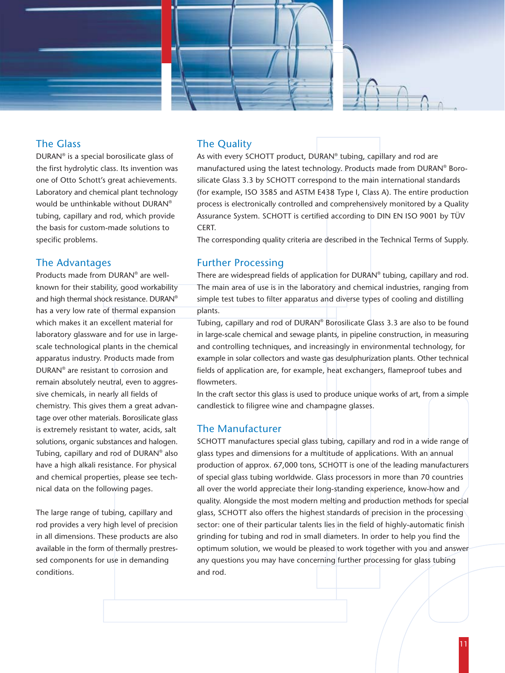

### The Glass

DURAN® is a special borosilicate glass of the first hydrolytic class. Its invention was one of Otto Schott's great achievements. Laboratory and chemical plant technology would be unthinkable without DURAN® tubing, capillary and rod, which provide the basis for custom-made solutions to specific problems.

#### The Advantages

Products made from DURAN® are wellknown for their stability, good workability and high thermal shock resistance. DURAN® has a very low rate of thermal expansion which makes it an excellent material for laboratory glassware and for use in largescale technological plants in the chemical apparatus industry. Products made from DURAN® are resistant to corrosion and remain absolutely neutral, even to aggressive chemicals, in nearly all fields of chemistry. This gives them a great advantage over other materials. Borosilicate glass is extremely resistant to water, acids, salt solutions, organic substances and halogen. Tubing, capillary and rod of DURAN® also have a high alkali resistance. For physical and chemical properties, please see technical data on the following pages.

The large range of tubing, capillary and rod provides a very high level of precision in all dimensions. These products are also available in the form of thermally prestressed components for use in demanding conditions.

### The Quality

As with every SCHOTT product, DURAN<sup>®</sup> tubing, capillary and rod are manufactured using the latest technology. Products made from DURAN® Borosilicate Glass 3.3 by SCHOTT correspond to the main international standards (for example, ISO 3585 and ASTM E438 Type I, Class A). The entire production process is electronically controlled and comprehensively monitored by a Quality Assurance System. SCHOTT is certified according to DIN EN ISO 9001 by TÜV CERT.

The corresponding quality criteria are described in the Technical Terms of Supply.

### Further Processing

There are widespread fields of application for DURAN® tubing, capillary and rod. The main area of use is in the laboratory and chemical industries, ranging from simple test tubes to filter apparatus and diverse types of cooling and distilling plants.

Tubing, capillary and rod of DURAN® Borosilicate Glass 3.3 are also to be found in large-scale chemical and sewage plants, in pipeline construction, in measuring and controlling techniques, and increasingly in environmental technology, for example in solar collectors and waste gas desulphurization plants. Other technical fields of application are, for example, heat exchangers, flameproof tubes and flowmeters.

In the craft sector this glass is used to produce unique works of art, from a simple candlestick to filigree wine and champagne glasses.

#### The Manufacturer

SCHOTT manufactures special glass tubing, capillary and rod in a wide range of glass types and dimensions for a multitude of applications. With an annual production of approx. 67,000 tons, SCHOTT is one of the leading manufacturers of special glass tubing worldwide. Glass processors in more than 70 countries all over the world appreciate their long-standing experience, know-how and quality. Alongside the most modern melting and production methods for special glass, SCHOTT also offers the highest standards of precision in the processing sector: one of their particular talents lies in the field of highly-automatic finish grinding for tubing and rod in small diameters. In order to help you find the optimum solution, we would be pleased to work together with you and answer any questions you may have concerning further processing for glass tubing and rod.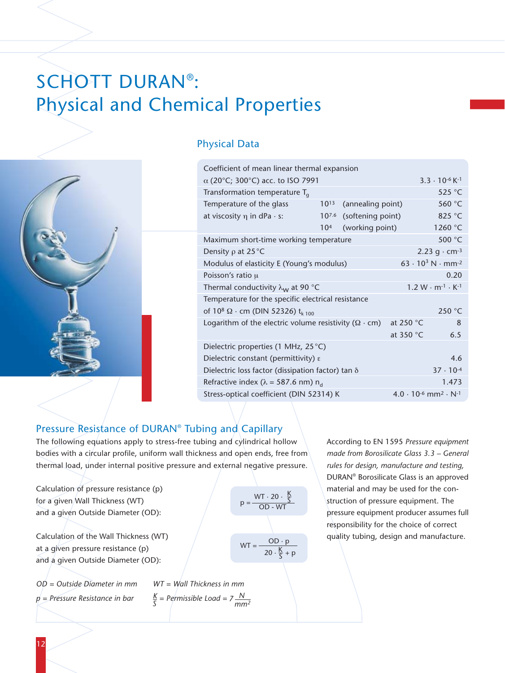## SCHOTT DURAN® : Physical and Chemical Properties



### Physical Data

| Coefficient of mean linear thermal expansion                       |                                     |                                            |           |                                                             |
|--------------------------------------------------------------------|-------------------------------------|--------------------------------------------|-----------|-------------------------------------------------------------|
| $\alpha$ (20°C; 300°C) acc. to ISO 7991                            | $3.3 \cdot 10^{-6}$ K <sup>-1</sup> |                                            |           |                                                             |
| Transformation temperature $T_q$                                   |                                     | 525 $\degree$ C                            |           |                                                             |
| Temperature of the glass                                           | $10^{13}$                           | (annealing point)                          |           | 560 °C                                                      |
| at viscosity $\eta$ in dPa $\cdot$ s:                              | $10^{7.6}$                          | (softening point)                          |           | 825 °C                                                      |
|                                                                    | 10 <sup>4</sup>                     | (working point)                            |           | 1260 °C                                                     |
| Maximum short-time working temperature                             |                                     |                                            |           | 500 °C                                                      |
| Density $\rho$ at 25 °C                                            |                                     |                                            |           | 2.23 $q \cdot cm^{-3}$                                      |
| Modulus of elasticity E (Young's modulus)                          |                                     | $63 \cdot 10^3$ N $\cdot$ mm <sup>-2</sup> |           |                                                             |
| Poisson's ratio $\mu$                                              |                                     |                                            |           | 0.20                                                        |
| Thermal conductivity $\lambda_{\mathsf{w}}$ at 90 °C               |                                     |                                            |           | $1.2 W \cdot m^{-1} \cdot K^{-1}$                           |
| Temperature for the specific electrical resistance                 |                                     |                                            |           |                                                             |
| of 10 <sup>8</sup> $\Omega$ · cm (DIN 52326) t <sub>k 100</sub>    |                                     |                                            |           | 250 °C                                                      |
| Logarithm of the electric volume resistivity ( $\Omega \cdot cm$ ) |                                     |                                            | at 250 °C | 8                                                           |
|                                                                    |                                     |                                            | at 350 °C | 6.5                                                         |
| Dielectric properties (1 MHz, 25 °C)                               |                                     |                                            |           |                                                             |
| 4.6<br>Dielectric constant (permittivity) $\varepsilon$            |                                     |                                            |           |                                                             |
| Dielectric loss factor (dissipation factor) tan $\delta$           |                                     |                                            |           | $37 \cdot 10^{-4}$                                          |
| Refractive index ( $\lambda$ = 587.6 nm) n <sub>d</sub>            |                                     |                                            |           | 1.473                                                       |
| Stress-optical coefficient (DIN 52314) K                           |                                     |                                            |           | $4.0 \cdot 10^{-6}$ mm <sup>2</sup> $\cdot$ N <sup>-1</sup> |

### Pressure Resistance of DURAN® Tubing and Capillary

The following equations apply to stress-free tubing and cylindrical hollow bodies with a circular profile, uniform wall thickness and open ends, free from thermal load, under internal positive pressure and external negative pressure.

Calculation of pressure resistance (p) for a given Wall Thickness (WT) and a given Outside Diameter (OD):

Calculation of the Wall Thickness (WT) at a given pressure resistance (p) and a given Outside Diameter (OD):

*OD = Outside Diameter in mm WT = Wall Thickness in mm*

 $WT = \frac{OD \cdot p}{p}$  $20 \cdot \frac{\cancel{K}}{\cancel{c}} + \cancel{p}$  $p = \overline{OD - WT}$  $WT \cdot 20 \cdot \frac{K}{S}$ 

 $p = \text{pressure Resistance in bar}$  *K* = Permissible Load =  $7 \frac{N}{mm^2}$ 

According to EN 1595 *Pressure equipment made from Borosilicate Glass 3.3 – General rules for design, manufacture and testing,* DURAN® Borosilicate Glass is an approved material and may be used for the construction of pressure equipment. The pressure equipment producer assumes full responsibility for the choice of correct quality tubing, design and manufacture.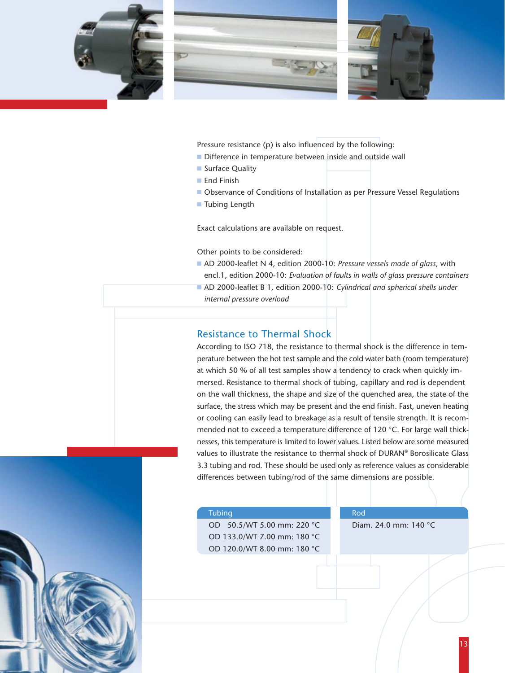



Pressure resistance (p) is also influenced by the following:

- Difference in temperature between inside and outside wall
- Surface Quality
- End Finish
- Observance of Conditions of Installation as per Pressure Vessel Regulations
- Tubing Length

Exact calculations are available on request.

Other points to be considered:

- AD 2000-leaflet N 4, edition 2000-10: *Pressure vessels made of glass*, with encl.1, edition 2000-10: *Evaluation of faults in walls of glass pressure containers*
- AD 2000-leaflet B 1, edition 2000-10: *Cylindrical and spherical shells under internal pressure overload*

#### Resistance to Thermal Shock

According to ISO 718, the resistance to thermal shock is the difference in temperature between the hot test sample and the cold water bath (room temperature) at which 50 % of all test samples show a tendency to crack when quickly immersed. Resistance to thermal shock of tubing, capillary and rod is dependent on the wall thickness, the shape and size of the quenched area, the state of the surface, the stress which may be present and the end finish. Fast, uneven heating or cooling can easily lead to breakage as a result of tensile strength. It is recommended not to exceed a temperature difference of 120 °C. For large wall thicknesses, this temperature is limited to lower values. Listed below are some measured values to illustrate the resistance to thermal shock of DURAN® Borosilicate Glass 3.3 tubing and rod. These should be used only as reference values as considerable differences between tubing/rod of the same dimensions are possible.

#### Tubing **Rod** Rod

OD 50.5/WT 5.00 mm: 220 °C Diam. 24.0 mm: 140 °C OD 133.0/WT 7.00 mm: 180 °C OD 120.0/WT 8.00 mm: 180 °C

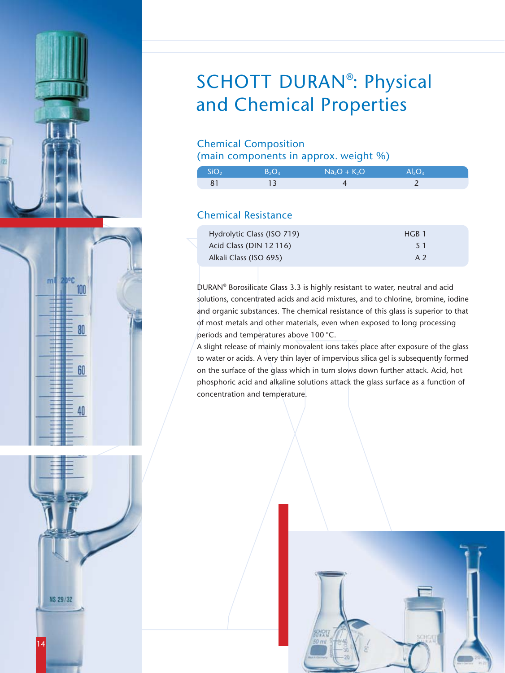





## SCHOTT DURAN<sup>®</sup>: Physical and Chemical Properties

### Chemical Composition

(main components in approx. weight %)

| SiO <sub>2</sub> | R C | $Na2O + K2O$ | Al,O |  |
|------------------|-----|--------------|------|--|
|                  |     |              |      |  |

## Chemical Resistance

| Hydrolytic Class (ISO 719) | HGB <sub>1</sub> |
|----------------------------|------------------|
| Acid Class (DIN 12116)     | S 1              |
| Alkali Class (ISO 695)     | A 2              |

DURAN® Borosilicate Glass 3.3 is highly resistant to water, neutral and acid solutions, concentrated acids and acid mixtures, and to chlorine, bromine, iodine and organic substances. The chemical resistance of this glass is superior to that of most metals and other materials, even when exposed to long processing periods and temperatures above 100 °C.

A slight release of mainly monovalent ions takes place after exposure of the glass to water or acids. A very thin layer of impervious silica gel is subsequently formed on the surface of the glass which in turn slows down further attack. Acid, hot phosphoric acid and alkaline solutions attack the glass surface as a function of concentration and temperature.

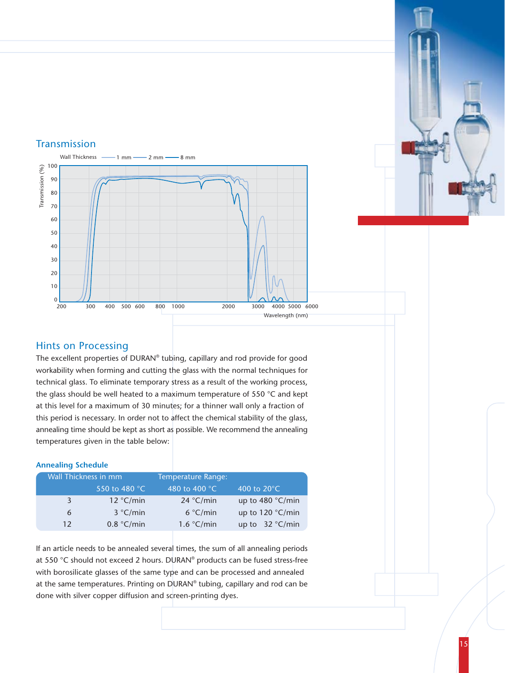

### Transmission



### Hints on Processing

The excellent properties of DURAN® tubing, capillary and rod provide for good workability when forming and cutting the glass with the normal techniques for technical glass. To eliminate temporary stress as a result of the working process, the glass should be well heated to a maximum temperature of 550 °C and kept at this level for a maximum of 30 minutes; for a thinner wall only a fraction of this period is necessary. In order not to affect the chemical stability of the glass, annealing time should be kept as short as possible. We recommend the annealing temperatures given in the table below:

#### **Annealing Schedule**

| Wall Thickness in mm |               | Temperature Range:      |                       |
|----------------------|---------------|-------------------------|-----------------------|
|                      | 550 to 480 °C | 480 to 400 $^{\circ}$ C | 400 to $20^{\circ}$ C |
| 3                    | 12 °C/min     | 24 °C/min               | up to $480 °C/min$    |
| 6                    | 3 °C/min      | 6 °C/min                | up to $120 °C/min$    |
| 12                   | 0.8 °C/min    | 1.6 °C/min              | up to $32 °C/min$     |

If an article needs to be annealed several times, the sum of all annealing periods at 550 °C should not exceed 2 hours. DURAN® products can be fused stress-free with borosilicate glasses of the same type and can be processed and annealed at the same temperatures. Printing on DURAN® tubing, capillary and rod can be done with silver copper diffusion and screen-printing dyes.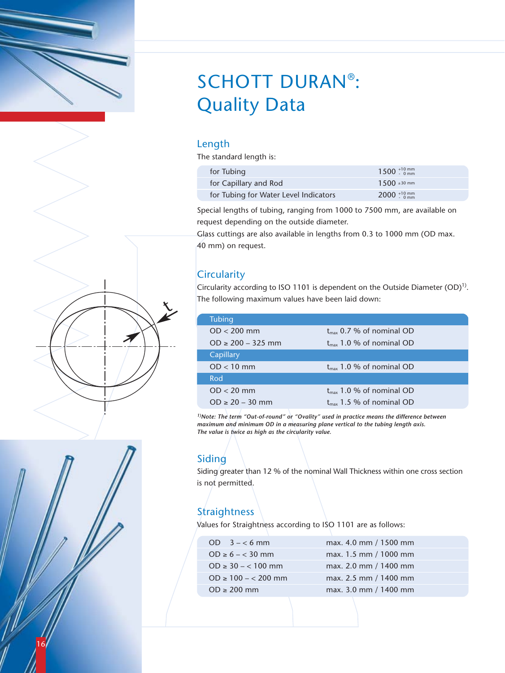

## SCHOTT DURAN® : Quality Data

### Length

The standard length is:

| for Tubing                            | $1500^{+10}$ mm       |
|---------------------------------------|-----------------------|
| for Capillary and Rod                 | $1500 \pm 30$ mm      |
| for Tubing for Water Level Indicators | 2000 $^{+10}_{-0}$ mm |

Special lengths of tubing, ranging from 1000 to 7500 mm, are available on request depending on the outside diameter.

Glass cuttings are also available in lengths from 0.3 to 1000 mm (OD max. 40 mm) on request.

## **Circularity**

Circularity according to ISO 1101 is dependent on the Outside Diameter  $(OD)^{1}$ . The following maximum values have been laid down:

| <b>Tubing</b>         |                               |
|-----------------------|-------------------------------|
| $OD < 200$ mm         | $t_{max}$ 0.7 % of nominal OD |
| $OD \ge 200 - 325$ mm | $t_{max}$ 1.0 % of nominal OD |
| Capillary             |                               |
| $OD < 10$ mm          | $t_{max}$ 1.0 % of nominal OD |
| Rod                   |                               |
| $OD < 20$ mm          | $t_{max}$ 1.0 % of nominal OD |
| $OD \ge 20 - 30$ mm   | $t_{max}$ 1.5 % of nominal OD |

*1)Note: The term "Out-of-round" or "Ovality" used in practice means the difference between maximum and minimum OD in a measuring plane vertical to the tubing length axis. The value is twice as high as the circularity value.*

### Siding

Siding greater than 12 % of the nominal Wall Thickness within one cross section is not permitted.

## Straightness

Values for Straightness according to ISO 1101 are as follows:

| OD $3 - 6$ mm           | max. 4.0 mm / 1500 mm |
|-------------------------|-----------------------|
| $OD \ge 6 - < 30$ mm    | max. 1.5 mm / 1000 mm |
| $OD \ge 30 - 100$ mm    | max. 2.0 mm / 1400 mm |
| $OD \ge 100 - < 200$ mm | max. 2.5 mm / 1400 mm |
| $OD \geq 200$ mm        | max. 3.0 mm / 1400 mm |
|                         |                       |



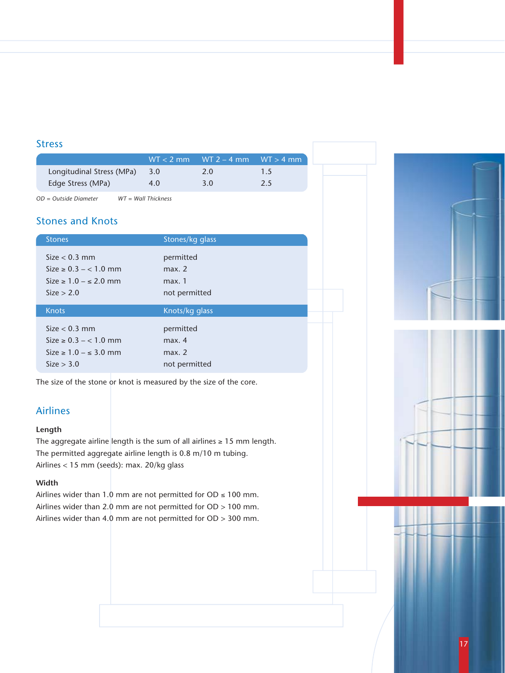#### Stress

|                           | $WT < 2$ mm | $WT$ 2 – 4 mm $WT > 4$ mm |    |
|---------------------------|-------------|---------------------------|----|
| Longitudinal Stress (MPa) | 3.0         | 2.0                       | 15 |
| Edge Stress (MPa)         | 4.0         | 3.0                       | 25 |

*OD = Outside Diameter WT = Wall Thickness*

### Stones and Knots

| <b>Stones</b>                 | Stones/kg glass |  |
|-------------------------------|-----------------|--|
| Size $< 0.3$ mm               | permitted       |  |
| $Size \ge 0.3 - 1.0$ mm       | max. 2          |  |
| Size $\geq 1.0 - \leq 2.0$ mm | max.1           |  |
| Size > 2.0                    | not permitted   |  |
| <b>Knots</b>                  |                 |  |
|                               | Knots/kg glass  |  |
| $Size < 0.3$ mm               | permitted       |  |
| $Size \ge 0.3 - 1.0$ mm       | max. 4          |  |
| Size $\geq 1.0 - \leq 3.0$ mm | max. 2          |  |
| Size > 3.0                    | not permitted   |  |

The size of the stone or knot is measured by the size of the core.

### Airlines

#### **Length**

The aggregate airline length is the sum of all airlines  $\geq 15$  mm length. The permitted aggregate airline length is 0.8 m/10 m tubing. Airlines < 15 mm (seeds): max. 20/kg glass

#### **Width**

Airlines wider than 1.0 mm are not permitted for OD  $\leq 100$  mm. Airlines wider than 2.0 mm are not permitted for OD > 100 mm. Airlines wider than 4.0 mm are not permitted for OD > 300 mm.

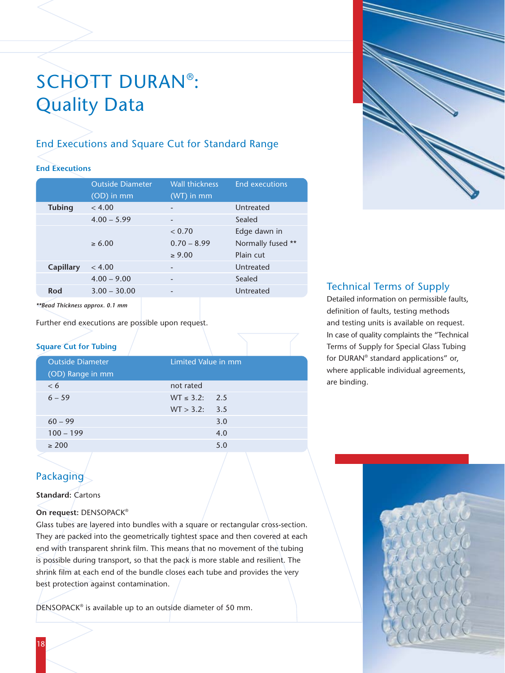## SCHOTT DURAN® : Quality Data

## End Executions and Square Cut for Standard Range

#### **End Executions**

|               | <b>Outside Diameter</b> | <b>Wall thickness</b>    | <b>End executions</b> |
|---------------|-------------------------|--------------------------|-----------------------|
|               | $(OD)$ in mm            | $(WT)$ in mm             |                       |
| <b>Tubing</b> | < 4.00                  |                          | Untreated             |
|               | $4.00 - 5.99$           | $\overline{\phantom{a}}$ | Sealed                |
|               |                         | < 0.70                   | Edge dawn in          |
|               | $\ge 6.00$              | $0.70 - 8.99$            | Normally fused **     |
|               |                         | $\ge 9.00$               | Plain cut             |
| Capillary     | < 4.00                  |                          | Untreated             |
|               | $4.00 - 9.00$           |                          | Sealed                |
| Rod           | $3.00 - 30.00$          |                          | Untreated             |
|               |                         |                          |                       |

*\*\*Bead Thickness approx. 0.1 mm*

Further end executions are possible upon request.

### **Square Cut for Tubing**

| <b>Outside Diameter</b> | Limited Value in mm |     |  |  |
|-------------------------|---------------------|-----|--|--|
| (OD) Range in mm        |                     |     |  |  |
| < 6                     | not rated           |     |  |  |
| $6 - 59$                | $WT \le 3.2$ : 2.5  |     |  |  |
|                         | WT > 3.2: 3.5       |     |  |  |
| $60 - 99$               |                     | 3.0 |  |  |
| $100 - 199$             |                     | 4.0 |  |  |
| $\geq 200$              |                     | 5.0 |  |  |
|                         |                     |     |  |  |



## Technical Terms of Supply

Detailed information on permissible faults, definition of faults, testing methods and testing units is available on request. In case of quality complaints the "Technical Terms of Supply for Special Glass Tubing for DURAN® standard applications" or, where applicable individual agreements, are binding.

## Packaging

#### **Standard:** Cartons

#### **On request:** DENSOPACK®

Glass tubes are layered into bundles with a square or rectangular cross-section. They are packed into the geometrically tightest space and then covered at each end with transparent shrink film. This means that no movement of the tubing is possible during transport, so that the pack is more stable and resilient. The shrink film at each end of the bundle closes each tube and provides the very best protection against contamination.

DENSOPACK® is available up to an outside diameter of 50 mm.

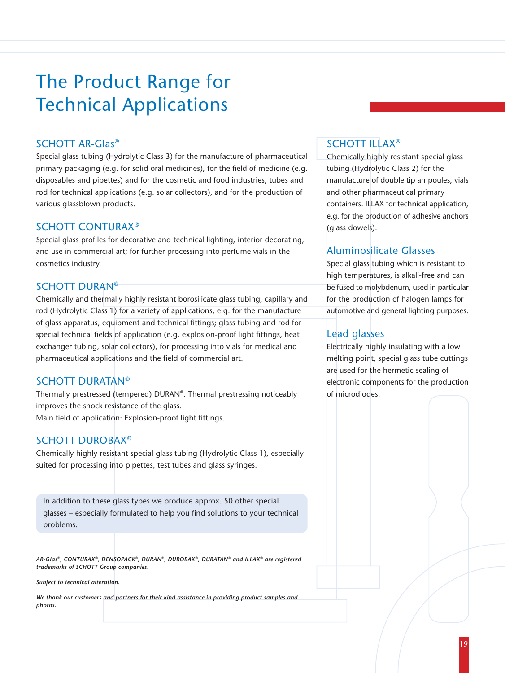## The Product Range for Technical Applications

#### SCHOTT AR-Glas®

Special glass tubing (Hydrolytic Class 3) for the manufacture of pharmaceutical primary packaging (e.g. for solid oral medicines), for the field of medicine (e.g. disposables and pipettes) and for the cosmetic and food industries, tubes and rod for technical applications (e.g. solar collectors), and for the production of various glassblown products.

#### SCHOTT CONTURAX®

Special glass profiles for decorative and technical lighting, interior decorating, and use in commercial art; for further processing into perfume vials in the cosmetics industry.

#### SCHOTT DURAN®

Chemically and thermally highly resistant borosilicate glass tubing, capillary and rod (Hydrolytic Class 1) for a variety of applications, e.g. for the manufacture of glass apparatus, equipment and technical fittings; glass tubing and rod for special technical fields of application (e.g. explosion-proof light fittings, heat exchanger tubing, solar collectors), for processing into vials for medical and pharmaceutical applications and the field of commercial art.

#### SCHOTT DURATAN®

Thermally prestressed (tempered) DURAN®. Thermal prestressing noticeably improves the shock resistance of the glass. Main field of application: Explosion-proof light fittings.

#### SCHOTT DUROBAX®

Chemically highly resistant special glass tubing (Hydrolytic Class 1), especially suited for processing into pipettes, test tubes and glass syringes.

In addition to these glass types we produce approx. 50 other special glasses – especially formulated to help you find solutions to your technical problems.

*AR-Glas®, CONTURAX®, DENSOPACK®, DURAN®, DUROBAX®, DURATAN® and ILLAX® are registered trademarks of SCHOTT Group companies.*

*Subject to technical alteration.*

*We thank our customers and partners for their kind assistance in providing product samples and photos.*

### SCHOTT ILLAX®

Chemically highly resistant special glass tubing (Hydrolytic Class 2) for the manufacture of double tip ampoules, vials and other pharmaceutical primary containers. ILLAX for technical application, e.g. for the production of adhesive anchors (glass dowels).

### Aluminosilicate Glasses

Special glass tubing which is resistant to high temperatures, is alkali-free and can be fused to molybdenum, used in particular for the production of halogen lamps for automotive and general lighting purposes.

### Lead glasses

Electrically highly insulating with a low melting point, special glass tube cuttings are used for the hermetic sealing of electronic components for the production of microdiodes.